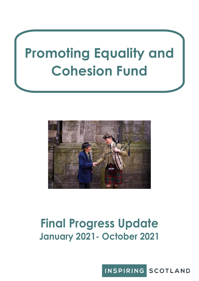# **Promoting Equality and Cohesion Fund**



## **Final Progress Update January 2021- October 2021**

INSPIRING SCOTLAND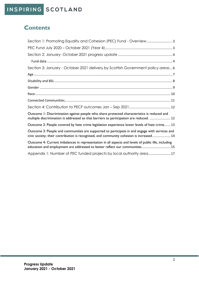## INSPIRING SCOTLAND

### **Contents**

| Section 1: Promoting Equality and Cohesion (PEC) Fund - Overview3                                                                                                                         |
|-------------------------------------------------------------------------------------------------------------------------------------------------------------------------------------------|
|                                                                                                                                                                                           |
|                                                                                                                                                                                           |
|                                                                                                                                                                                           |
| Section 3: January - October 2021 delivery by Scottish Government policy areas6                                                                                                           |
|                                                                                                                                                                                           |
|                                                                                                                                                                                           |
|                                                                                                                                                                                           |
|                                                                                                                                                                                           |
|                                                                                                                                                                                           |
|                                                                                                                                                                                           |
| Outcome I: Discrimination against people who share protected characteristics is reduced and<br>multiple discrimination is addressed so that barriers to participation are reduced.  12    |
| Outcome 2: People covered by hate crime legislation experience lower levels of hate crime 13                                                                                              |
| Outcome 3: People and communities are supported to participate in and engage with services and<br>civic society; their contribution is recognised, and community cohesion is increased 14 |
| Outcome 4: Current imbalances in representation in all aspects and levels of public life, including<br>education and employment are addressed to better reflect our communities  15       |
| Appendix 1: Number of PEC funded projects by local authority area17                                                                                                                       |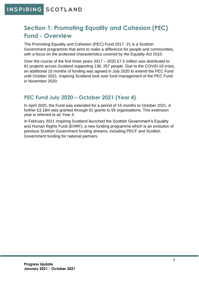## <span id="page-2-0"></span>**Section 1: Promoting Equality and Cohesion (PEC) Fund - Overview**

The Promoting Equality and Cohesion (PEC) Fund 2017 -21 is a Scottish Government programme that aims to make a difference for people and communities, with a focus on the protected characteristics covered by the Equality Act 2010.

Over the course of the first three years 2017 – 2020 £7.5 million was distributed to 61 projects across Scotland supporting 136, 257 people. Due to the COVID-19 crisis, an additional 15 months of funding was agreed in July 2020 to extend the PEC Fund until October 2021. Inspiring Scotland took over fund management of the PEC Fund in November 2020.

#### <span id="page-2-1"></span>**PEC Fund July 2020 – October 2021 (Year 4)**

In April 2020, the Fund was extended for a period of 15 months to October 2021. A further £3.18m was granted through 61 grants to 55 organisations. This extension year is referred to as Year 4.

In February 2021 Inspiring Scotland launched the Scottish Government's Equality and Human Rights Fund (EHRF), a new funding programme which is an evolution of previous Scottish Government funding streams, including PECF and Scottish Government funding for national partners.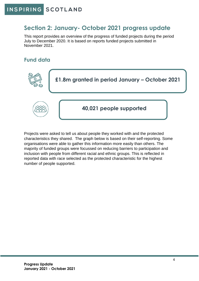#### <span id="page-3-0"></span>**Section 2: January- October 2021 progress update**

This report provides an overview of the progress of funded projects during the period July to December 2020. It is based on reports funded projects submitted in November 2021.

#### <span id="page-3-1"></span>**Fund data**



Projects were asked to tell us about people they worked with and the protected characteristics they shared. The graph below is based on their self-reporting. Some organisations were able to gather this information more easily than others. The majority of funded groups were focussed on reducing barriers to participation and inclusion with people from different racial and ethnic groups. This is reflected in reported data with race selected as the protected characteristic for the highest number of people supported.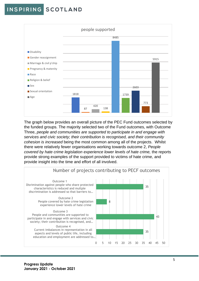

The graph below provides an overall picture of the PEC Fund outcomes selected by the funded groups. The majority selected two of the Fund outcomes, with Outcome Three, *people and communities are supported to participate in and engage with services and civic society; their contribution is recognised, and their community cohesion is increased* being the most common among all of the projects. Whilst there were relatively fewer organisations working towards outcome 2, *People covered by hate crime legislation experience lower levels of hate crime, the reports* provide strong examples of the support provided to victims of hate crime, and provide insight into the time and effort of all involved.

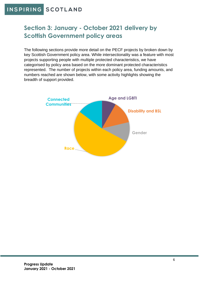## <span id="page-5-0"></span>**Section 3: January - October 2021 delivery by Scottish Government policy areas**

The following sections provide more detail on the PECF projects by broken down by key Scottish Government policy area. While intersectionality was a feature with most projects supporting people with multiple protected characteristics, we have categorised by policy area based on the more dominant protected characteristics represented. The number of projects within each policy area, funding amounts, and numbers reached are shown below, with some activity highlights showing the breadth of support provided.

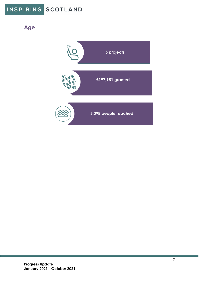## INSPIRING SCOTLAND

<span id="page-6-0"></span>**Age**

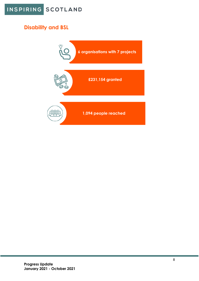

### <span id="page-7-0"></span>**Disability and BSL**

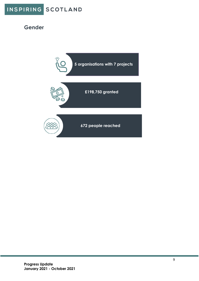

#### <span id="page-8-0"></span>**Gender**

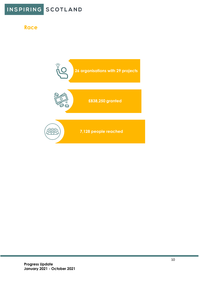

#### <span id="page-9-0"></span>**Race**

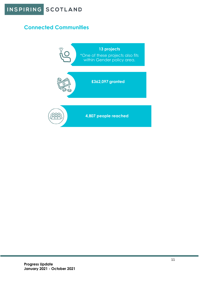

#### <span id="page-10-0"></span>**Connected Communities**

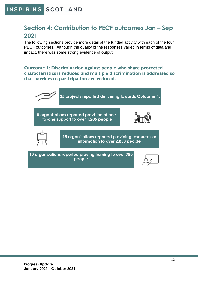## <span id="page-11-0"></span>**Section 4: Contribution to PECF outcomes Jan – Sep 2021**

The following sections provide more detail of the funded activity with each of the four PECF outcomes. Although the quality of the responses varied in terms of data and impact, there was some strong evidence of output.

<span id="page-11-1"></span>**Outcome 1**: **Discrimination against people who share protected characteristics is reduced and multiple discrimination is addressed so that barriers to participation are reduced.**

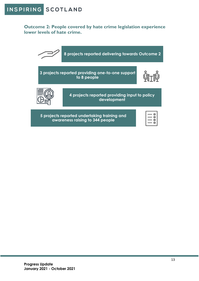<span id="page-12-0"></span>**Outcome 2: People covered by hate crime legislation experience lower levels of hate crime.**

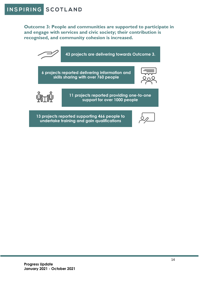<span id="page-13-0"></span>**Outcome 3: People and communities are supported to participate in and engage with services and civic society; their contribution is recognised, and community cohesion is increased.**

**43 projects are delivering towards Outcome 3. 6 projects reported delivering information and skills sharing with over 760 people 11 projects reported providing one-to-one support for over 1000 people** 

**13 projects reported supporting 466 people to undertake training and gain qualifications**

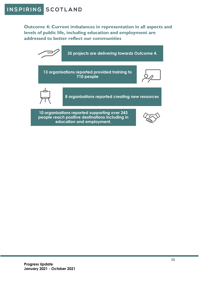<span id="page-14-0"></span>**Outcome 4: Current imbalances in representation in all aspects and levels of public life, including education and employment are addressed to better reflect our communities**

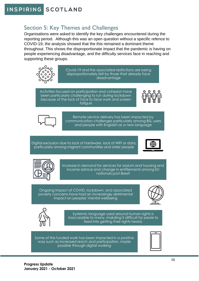#### Section 5: Key Themes and Challenges

Organisations were asked to identify the key challenges encountered during the reporting period. Although this was an open question without a specific refence to COVID-19, the analysis showed that the this remained a dominant theme throughout. This shows the disproportionate impact that the pandemic is having on people experiencing disadvantage, and the difficulty services face in reaching and supporting these groups.



Covid-19 and the associated restrictions are being disproportionately felt by those that already face disadvantage

Activities focused on participation and cohesion have been particularly challenging to run during lockdown because of the lack of face to face work and screen fatigue





Remote service delivery has been impacted by communication challenges particularly among BSL users and people with Englaish as a new language

Digital exclusion due to lack of hardware, lack of WiFi or data, particularly among migrant communities and older people





Increase in demand for services for asylum and housing and income advice and change in entitlements among EU nationals post Brexit

Ongoing impact of COVID, lockdown, and associated poverty concerns have had an increasingly detrimental impact on peoples' mental wellbeing





Systemic language used around human rights is inaccessible to many, makding it difficult for peole to feed into getting their rights heard.

Some of the funded work has been impacted in a positive way such as increased reach and participation, made possible through digital working